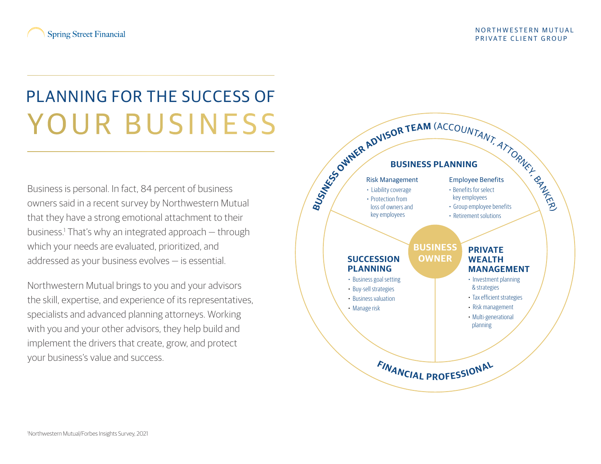

## Planning for the success of YOUR BUSINESS

Business is personal. In fact, 84 percent of business owners said in a recent survey by Northwestern Mutual that they have a strong emotional attachment to their business.1 That's why an integrated approach — through which your needs are evaluated, prioritized, and addressed as your business evolves — is essential.

Northwestern Mutual brings to you and your advisors the skill, expertise, and experience of its representatives, specialists and advanced planning attorneys. Working with you and your other advisors, they help build and implement the drivers that create, grow, and protect your business's value and success.